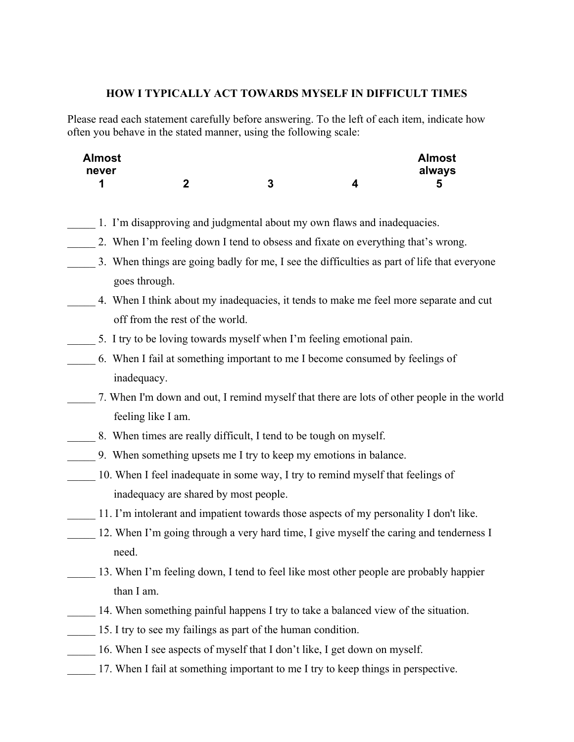## **HOW I TYPICALLY ACT TOWARDS MYSELF IN DIFFICULT TIMES**

Please read each statement carefully before answering. To the left of each item, indicate how often you behave in the stated manner, using the following scale:

| <b>Almost</b> |   |        | <b>Almost</b> |
|---------------|---|--------|---------------|
| never         |   |        | always        |
|               | m | n<br>w |               |

- \_\_\_\_\_ 1. I'm disapproving and judgmental about my own flaws and inadequacies.
- 2. When I'm feeling down I tend to obsess and fixate on everything that's wrong.
- 3. When things are going badly for me, I see the difficulties as part of life that everyone goes through.
- \_\_\_\_\_ 4. When I think about my inadequacies, it tends to make me feel more separate and cut off from the rest of the world.
- \_\_\_\_\_ 5. I try to be loving towards myself when I'm feeling emotional pain.
- \_\_\_\_\_ 6. When I fail at something important to me I become consumed by feelings of inadequacy.
- \_\_\_\_\_ 7. When I'm down and out, I remind myself that there are lots of other people in the world feeling like I am.
- 8. When times are really difficult, I tend to be tough on myself.
- \_\_\_\_\_ 9. When something upsets me I try to keep my emotions in balance.
- 10. When I feel inadequate in some way, I try to remind myself that feelings of inadequacy are shared by most people.
- 11. I'm intolerant and impatient towards those aspects of my personality I don't like.
- 12. When I'm going through a very hard time, I give myself the caring and tenderness I need.
- 13. When I'm feeling down, I tend to feel like most other people are probably happier than I am.
- 14. When something painful happens I try to take a balanced view of the situation.
- 15. I try to see my failings as part of the human condition.
- 16. When I see aspects of myself that I don't like, I get down on myself.
- 17. When I fail at something important to me I try to keep things in perspective.